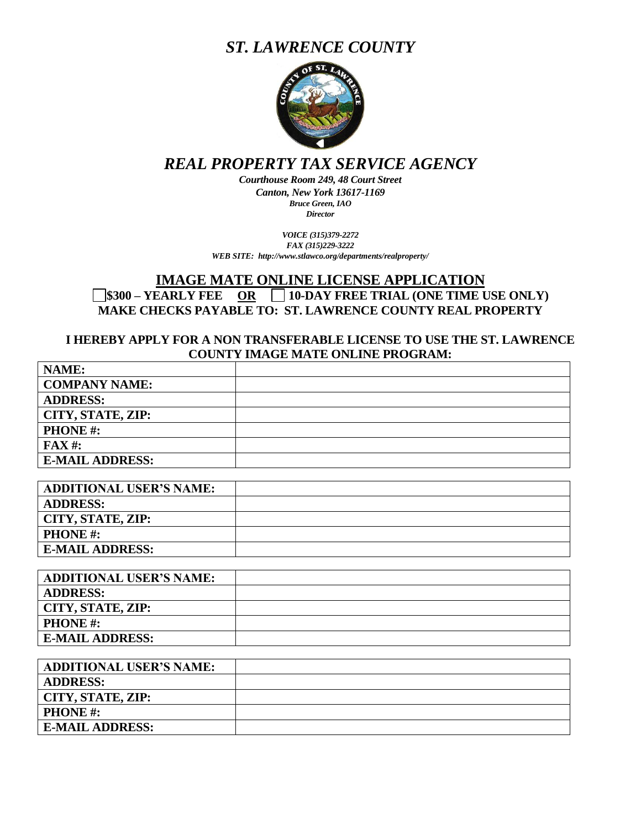# *ST. LAWRENCE COUNTY*



## *REAL PROPERTY TAX SERVICE AGENCY*

*Courthouse Room 249, 48 Court Street Canton, New York 13617-1169 Bruce Green, IAO Director*

*VOICE (315)379-2272 FAX (315)229-3222 WEB SITE: http://www.stlawco.org/departments/realproperty/*

### **IMAGE MATE ONLINE LICENSE APPLICATION \$300 – YEARLY FEE OR 10-DAY FREE TRIAL (ONE TIME USE ONLY) MAKE CHECKS PAYABLE TO: ST. LAWRENCE COUNTY REAL PROPERTY**

#### **I HEREBY APPLY FOR A NON TRANSFERABLE LICENSE TO USE THE ST. LAWRENCE COUNTY IMAGE MATE ONLINE PROGRAM:**

| NAME:                  |  |
|------------------------|--|
| <b>COMPANY NAME:</b>   |  |
| <b>ADDRESS:</b>        |  |
| CITY, STATE, ZIP:      |  |
| <b>PHONE</b> #:        |  |
| $\bf{FAX}$ #:          |  |
| <b>E-MAIL ADDRESS:</b> |  |

| <b>ADDITIONAL USER'S NAME:</b> |  |
|--------------------------------|--|
| <b>ADDRESS:</b>                |  |
| CITY, STATE, ZIP:              |  |
| <b>PHONE</b> #:                |  |
| <b>E-MAIL ADDRESS:</b>         |  |

| <b>ADDITIONAL USER'S NAME:</b> |  |
|--------------------------------|--|
| <b>ADDRESS:</b>                |  |
| CITY, STATE, ZIP:              |  |
| <b>PHONE</b> #:                |  |
| <b>E-MAIL ADDRESS:</b>         |  |

| <b>ADDITIONAL USER'S NAME:</b> |  |
|--------------------------------|--|
| <b>ADDRESS:</b>                |  |
| CITY, STATE, ZIP:              |  |
| <b>PHONE</b> #:                |  |
| <b>E-MAIL ADDRESS:</b>         |  |